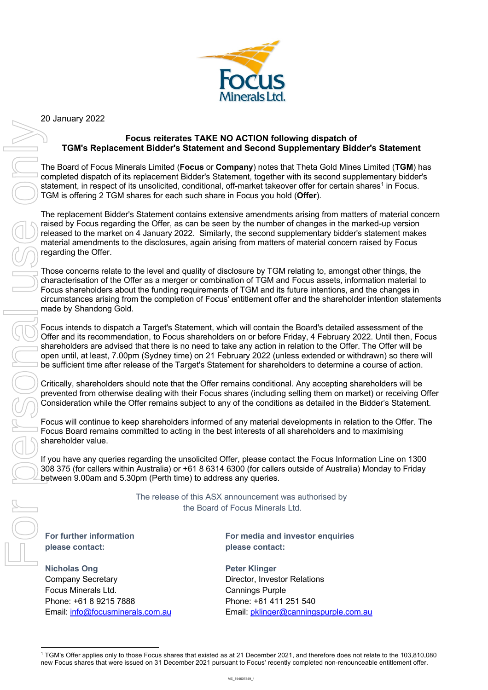

20 January 2022

## **Focus reiterates TAKE NO ACTION following dispatch of TGM's Replacement Bidder's Statement and Second Supplementary Bidder's Statement**

The Board of Focus Minerals Limited (**Focus** or **Company**) notes that Theta Gold Mines Limited (**TGM**) has completed dispatch of its replacement Bidder's Statement, together with its second supplementary bidder's statement, in respect of its unsolicited, conditional, off-market takeover offer for certain shares<sup>1</sup> in Focus. TGM is offering 2 TGM shares for each such share in Focus you hold (**Offer**).

The replacement Bidder's Statement contains extensive amendments arising from matters of material concern raised by Focus regarding the Offer, as can be seen by the number of changes in the marked-up version released to the market on 4 January 2022. Similarly, the second supplementary bidder's statement makes material amendments to the disclosures, again arising from matters of material concern raised by Focus regarding the Offer.

Those concerns relate to the level and quality of disclosure by TGM relating to, amongst other things, the characterisation of the Offer as a merger or combination of TGM and Focus assets, information material to Focus shareholders about the funding requirements of TGM and its future intentions, and the changes in circumstances arising from the completion of Focus' entitlement offer and the shareholder intention statements made by Shandong Gold. TOM's Replacement ENGENO ACTION following dispatch of<br>
TOM's Replacement ENGENO Statement and Second Supplementary Bistuaries on 31<br>
Consider to Focus Microsoft Complement and Consider with its explorer with the intermedi

Focus intends to dispatch a Target's Statement, which will contain the Board's detailed assessment of the Offer and its recommendation, to Focus shareholders on or before Friday, 4 February 2022. Until then, Focus shareholders are advised that there is no need to take any action in relation to the Offer. The Offer will be open until, at least, 7.00pm (Sydney time) on 21 February 2022 (unless extended or withdrawn) so there will be sufficient time after release of the Target's Statement for shareholders to determine a course of action.

Critically, shareholders should note that the Offer remains conditional. Any accepting shareholders will be prevented from otherwise dealing with their Focus shares (including selling them on market) or receiving Offer Consideration while the Offer remains subject to any of the conditions as detailed in the Bidder's Statement.

Focus will continue to keep shareholders informed of any material developments in relation to the Offer. The Focus Board remains committed to acting in the best interests of all shareholders and to maximising shareholder value.

If you have any queries regarding the unsolicited Offer, please contact the Focus Information Line on 1300 308 375 (for callers within Australia) or +61 8 6314 6300 (for callers outside of Australia) Monday to Friday between 9.00am and 5.30pm (Perth time) to address any queries.

> The release of this ASX announcement was authorised by the Board of Focus Minerals Ltd.

**For further information please contact:**

**Nicholas Ong** Company Secretary Focus Minerals Ltd. Phone: +61 8 9215 7888 Email: info@focusminerals.com.au **For media and investor enquiries please contact:**

**Peter Klinger** Director, Investor Relations Cannings Purple Phone: +61 411 251 540 Email: pklinger@canningspurple.com.au

<sup>&</sup>lt;sup>1</sup> TGM's Offer applies only to those Focus shares that existed as at 21 December 2021, and therefore does not relate to the 103,810,080 new Focus shares that were issued on 31 December 2021 pursuant to Focus' recently com